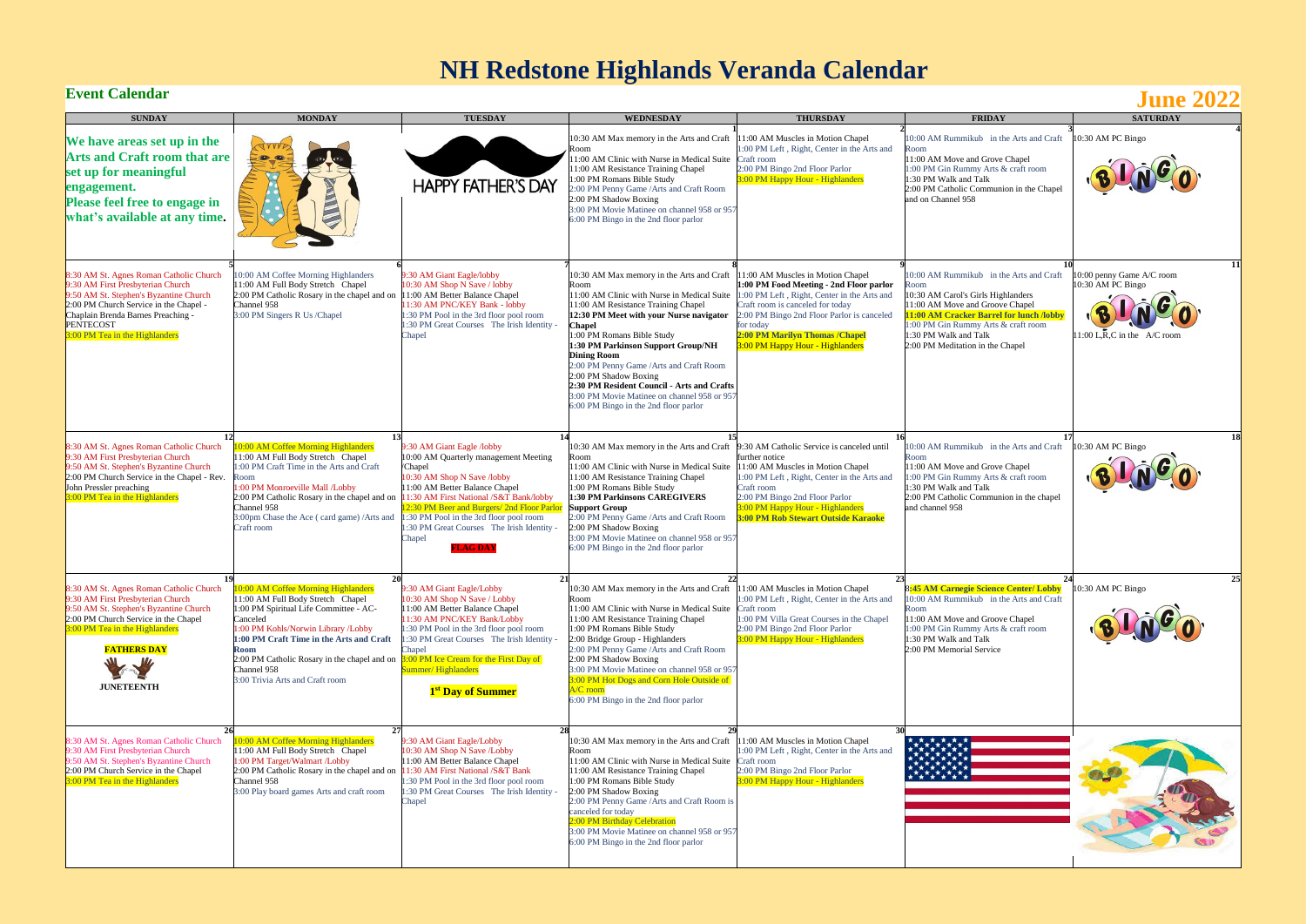

# **NH Redstone Highlands Veranda Calendar**<br>Event Calendar

| <b>SUNDAY</b>                                                                                                                                                                                                                                         | <b>MONDAY</b>                                                                                                                                                                                                                                                                                                                                                       | <b>TUESDAY</b>                                                                                                                                                                                                                                                                                                                                                  | <b>WEDNESDAY</b>                                                                                                                                                                                                                                                                                                                                                                                                                                                                                | <b>THURSDAY</b>                                                                                                                                                                                                                                                                                   | <b>FRIDAY</b>                                                                                                                                                                                                                                                            | <b>SATURDAY</b>                                                             |
|-------------------------------------------------------------------------------------------------------------------------------------------------------------------------------------------------------------------------------------------------------|---------------------------------------------------------------------------------------------------------------------------------------------------------------------------------------------------------------------------------------------------------------------------------------------------------------------------------------------------------------------|-----------------------------------------------------------------------------------------------------------------------------------------------------------------------------------------------------------------------------------------------------------------------------------------------------------------------------------------------------------------|-------------------------------------------------------------------------------------------------------------------------------------------------------------------------------------------------------------------------------------------------------------------------------------------------------------------------------------------------------------------------------------------------------------------------------------------------------------------------------------------------|---------------------------------------------------------------------------------------------------------------------------------------------------------------------------------------------------------------------------------------------------------------------------------------------------|--------------------------------------------------------------------------------------------------------------------------------------------------------------------------------------------------------------------------------------------------------------------------|-----------------------------------------------------------------------------|
| We have areas set up in the<br><b>Arts and Craft room that are</b><br>set up for meaningful<br>engagement.<br><b>Please feel free to engage in</b><br>what's available at any time.                                                                   | $\bullet$<br><b>THE REAL</b>                                                                                                                                                                                                                                                                                                                                        | <b>HAPPY FATHER'S DAY</b>                                                                                                                                                                                                                                                                                                                                       | 10:30 AM Max memory in the Arts and Craft<br>oom!<br>1:00 AM Clinic with Nurse in Medical Suite<br>1:00 AM Resistance Training Chapel<br>:00 PM Romans Bible Study<br>:00 PM Penny Game / Arts and Craft Room<br>2:00 PM Shadow Boxing<br>3:00 PM Movie Matinee on channel 958 or 957<br>6:00 PM Bingo in the 2nd floor parlor                                                                                                                                                                  | 1:00 AM Muscles in Motion Chapel<br>1:00 PM Left, Right, Center in the Arts and<br>Craft room<br>2:00 PM Bingo 2nd Floor Parlor<br>3:00 PM Happy Hour - Highlanders                                                                                                                               | 10:00 AM Rummikub in the Arts and Craft<br>Room<br>11:00 AM Move and Grove Chapel<br>1:00 PM Gin Rummy Arts & craft room<br>1:30 PM Walk and Talk<br>2:00 PM Catholic Communion in the Chapel<br>and on Channel 958                                                      | 10:30 AM PC Bingo<br>BINGO                                                  |
| 8:30 AM St. Agnes Roman Catholic Church<br>9:30 AM First Presbyterian Church<br>9:50 AM St. Stephen's Byzantine Church<br>2:00 PM Church Service in the Chapel -<br>Chaplain Brenda Barnes Preaching -<br>PENTECOST<br>3:00 PM Tea in the Highlanders | 10:00 AM Coffee Morning Highlanders<br>11:00 AM Full Body Stretch Chapel<br>2:00 PM Catholic Rosary in the chapel and on<br>Channel 958<br>3:00 PM Singers R Us /Chapel                                                                                                                                                                                             | 9:30 AM Giant Eagle/lobby<br>10:30 AM Shop N Save / lobby<br>11:00 AM Better Balance Chapel<br>11:30 AM PNC/KEY Bank - lobby<br>1:30 PM Pool in the 3rd floor pool room<br>1:30 PM Great Courses The Irish Identity -<br>Chapel                                                                                                                                 | 10:30 AM Max memory in the Arts and Craft<br>Room<br>1:00 AM Clinic with Nurse in Medical Suite<br>11:00 AM Resistance Training Chapel<br>12:30 PM Meet with your Nurse navigator<br>Chapel<br>:00 PM Romans Bible Study<br>1:30 PM Parkinson Support Group/NH<br><b>Dining Room</b><br>2:00 PM Penny Game / Arts and Craft Room<br>2:00 PM Shadow Boxing<br>2:30 PM Resident Council - Arts and Crafts<br>3:00 PM Movie Matinee on channel 958 or 957<br>6:00 PM Bingo in the 2nd floor parlor | 11:00 AM Muscles in Motion Chapel<br>1:00 PM Food Meeting - 2nd Floor parlor<br>1:00 PM Left, Right, Center in the Arts and<br>Craft room is canceled for today<br>2:00 PM Bingo 2nd Floor Parlor is canceled<br>for today<br>2:00 PM Marilyn Thomas / Chapel<br>3:00 PM Happy Hour - Highlanders | 10:00 AM Rummikub in the Arts and Craft<br>Room<br>10:30 AM Carol's Girls Highlanders<br>11:00 AM Move and Groove Chapel<br>11:00 AM Cracker Barrel for lunch /lobby<br>1:00 PM Gin Rummy Arts & craft room<br>1:30 PM Walk and Talk<br>2:00 PM Meditation in the Chapel | 11<br>10:00 penny Game A/C room<br>10:30 AM PC Bingo<br>$1:00$ L,R,C in the |
| 8:30 AM St. Agnes Roman Catholic Church<br>9:30 AM First Presbyterian Church<br>9:50 AM St. Stephen's Byzantine Church<br>2:00 PM Church Service in the Chapel - Rev.<br>John Pressler preaching<br>3:00 PM Tea in the Highlanders                    | 0:00 AM Coffee Morning Highlanders<br>11:00 AM Full Body Stretch Chapel<br>1:00 PM Craft Time in the Arts and Craft<br>Room<br>1:00 PM Monroeville Mall /Lobby<br>2:00 PM Catholic Rosary in the chapel and on<br>Channel 958<br>3:00pm Chase the Ace (card game)/Arts and<br>Craft room                                                                            | 9:30 AM Giant Eagle /lobby<br>10:00 AM Quarterly management Meeting<br>/Chapel<br>10:30 AM Shop N Save /lobby<br>11:00 AM Better Balance Chapel<br>11:30 AM First National /S&T Bank/lobby<br>12:30 PM Beer and Burgers/ 2nd Floor Parlot<br>1:30 PM Pool in the 3rd floor pool room<br>1:30 PM Great Courses The Irish Identity -<br>Chapel<br><b>FLAG DAY</b> | 10:30 AM Max memory in the Arts and Craft 9:30 AM Catholic Service is canceled until<br>1:00 AM Clinic with Nurse in Medical Suite<br>11:00 AM Resistance Training Chapel<br>1:00 PM Romans Bible Study<br>1:30 PM Parkinsons CAREGIVERS<br><b>Support Group</b><br>2:00 PM Penny Game / Arts and Craft Room<br>2:00 PM Shadow Boxing<br>3:00 PM Movie Matinee on channel 958 or 957<br>6:00 PM Bingo in the 2nd floor parlor                                                                   | further notice<br>11:00 AM Muscles in Motion Chapel<br>1:00 PM Left, Right, Center in the Arts and<br>Craft room<br>2:00 PM Bingo 2nd Floor Parlor<br>3:00 PM Happy Hour - Highlanders<br><b>3:00 PM Rob Stewart Outside Karaoke</b>                                                              | 10:00 AM Rummikub in the Arts and Craft<br>11:00 AM Move and Grove Chapel<br>1:00 PM Gin Rummy Arts & craft room<br>1:30 PM Walk and Talk<br>2:00 PM Catholic Communion in the chapel<br>and channel 958                                                                 | 18<br>10:30 AM PC Bingo                                                     |
| 8:30 AM St. Agnes Roman Catholic Church<br>9:30 AM First Presbyterian Church<br>9:50 AM St. Stephen's Byzantine Church<br>2:00 PM Church Service in the Chapel<br>3:00 PM Tea in the Highlanders<br><b>FATHERS DAY</b><br><b>JUNETEENTH</b>           | 0:00 AM Coffee Morning Highlanders<br>11:00 AM Full Body Stretch Chapel<br>1:00 PM Spiritual Life Committee - AC-<br>Canceled<br>1:00 PM Kohls/Norwin Library /Lobby<br>1:00 PM Craft Time in the Arts and Craft<br>Room<br>2:00 PM Catholic Rosary in the chapel and on $3:00$ PM Ice Cream for the First Day of<br>Channel 958<br>3:00 Trivia Arts and Craft room | 9:30 AM Giant Eagle/Lobby<br>10:30 AM Shop N Save / Lobby<br>11:00 AM Better Balance Chapel<br>11:30 AM PNC/KEY Bank/Lobby<br>1:30 PM Pool in the 3rd floor pool room<br>1:30 PM Great Courses The Irish Identity<br>Chapel<br>Summer/Highlanders<br>1 <sup>st</sup> Day of Summer                                                                              | 10:30 AM Max memory in the Arts and Craft 11:00 AM Muscles in Motion Chapel<br>Room<br>11:00 AM Clinic with Nurse in Medical Suite Craft room<br>11:00 AM Resistance Training Chapel<br>1:00 PM Romans Bible Study<br>2:00 Bridge Group - Highlanders<br>2:00 PM Penny Game / Arts and Craft Room<br>2:00 PM Shadow Boxing<br>3:00 PM Movie Matinee on channel 958 or 957<br>3:00 PM Hot Dogs and Corn Hole Outside of<br>$\sqrt{C}$ room<br>6:00 PM Bingo in the 2nd floor parlor              | 1:00 PM Left, Right, Center in the Arts and<br>1:00 PM Villa Great Courses in the Chapel<br>2:00 PM Bingo 2nd Floor Parlor<br>3:00 PM Happy Hour - Highlanders                                                                                                                                    | 8:45 AM Carnegie Science Center/ Lobby<br>10:00 AM Rummikub in the Arts and Craft<br>Room<br>11:00 AM Move and Groove Chapel<br>1:00 PM Gin Rummy Arts & craft room<br>1:30 PM Walk and Talk<br>2:00 PM Memorial Service                                                 | 25<br>10:30 AM PC Bingo                                                     |
| 26<br>8:30 AM St. Agnes Roman Catholic Church<br>9:30 AM First Presbyterian Church<br>9:50 AM St. Stephen's Byzantine Church<br>2:00 PM Church Service in the Chapel<br><b>8:00 PM Tea in the Highlanders</b>                                         | 27<br>0:00 AM Coffee Morning Highlanders<br>11:00 AM Full Body Stretch Chapel<br>1:00 PM Target/Walmart /Lobby<br>2:00 PM Catholic Rosary in the chapel and on<br>Channel 958<br>3:00 Play board games Arts and craft room                                                                                                                                          | 28<br>9:30 AM Giant Eagle/Lobby<br>10:30 AM Shop N Save /Lobby<br>11:00 AM Better Balance Chapel<br>11:30 AM First National /S&T Bank<br>1:30 PM Pool in the 3rd floor pool room<br>1:30 PM Great Courses The Irish Identity -<br>Chapel                                                                                                                        | -29<br>10:30 AM Max memory in the Arts and Craft 11:00 AM Muscles in Motion Chapel<br>Room<br>11:00 AM Clinic with Nurse in Medical Suite Craft room<br>11:00 AM Resistance Training Chapel<br>1:00 PM Romans Bible Study<br>2:00 PM Shadow Boxing<br>2:00 PM Penny Game / Arts and Craft Room is<br>canceled for today<br><b>2:00 PM Birthday Celebration</b><br>3:00 PM Movie Matinee on channel 958 or 957<br>6:00 PM Bingo in the 2nd floor parlor                                          | 1:00 PM Left, Right, Center in the Arts and<br>2:00 PM Bingo 2nd Floor Parlor<br><b>3:00 PM Happy Hour - Highlanders</b>                                                                                                                                                                          |                                                                                                                                                                                                                                                                          |                                                                             |